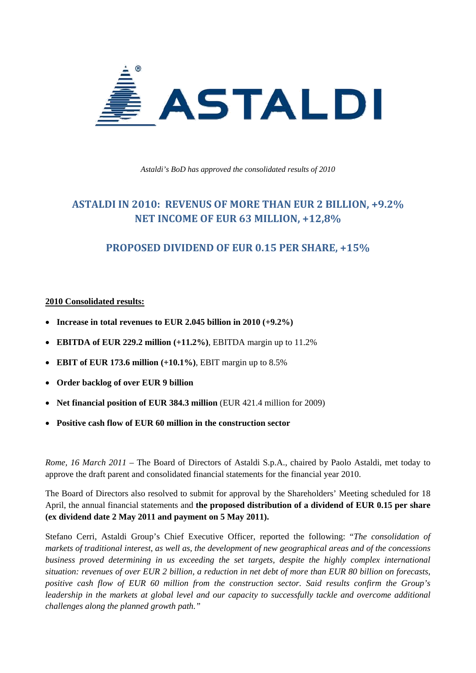

*Astaldi's BoD has approved the consolidated results of 2010* 

# **ASTALDI IN 2010: REVENUS OF MORE THAN EUR 2 BILLION, +9.2% NET INCOME OF EUR 63 MILLION, +12,8%**

### **PROPOSED DIVIDEND OF EUR 0.15 PER SHARE, +15%**

### **2010 Consolidated results:**

- **Increase in total revenues to EUR 2.045 billion in 2010 (+9.2%)**
- **EBITDA of EUR 229.2 million (+11.2%)**, EBITDA margin up to 11.2%
- **EBIT of EUR 173.6 million (+10.1%)**, EBIT margin up to 8.5%
- **Order backlog of over EUR 9 billion**
- **Net financial position of EUR 384.3 million** (EUR 421.4 million for 2009)
- **Positive cash flow of EUR 60 million in the construction sector**

*Rome, 16 March 2011* – The Board of Directors of Astaldi S.p.A., chaired by Paolo Astaldi, met today to approve the draft parent and consolidated financial statements for the financial year 2010.

The Board of Directors also resolved to submit for approval by the Shareholders' Meeting scheduled for 18 April, the annual financial statements and **the proposed distribution of a dividend of EUR 0.15 per share (ex dividend date 2 May 2011 and payment on 5 May 2011).** 

Stefano Cerri, Astaldi Group's Chief Executive Officer, reported the following: "*The consolidation of markets of traditional interest, as well as, the development of new geographical areas and of the concessions business proved determining in us exceeding the set targets, despite the highly complex international situation: revenues of over EUR 2 billion, a reduction in net debt of more than EUR 80 billion on forecasts, positive cash flow of EUR 60 million from the construction sector. Said results confirm the Group's leadership in the markets at global level and our capacity to successfully tackle and overcome additional challenges along the planned growth path."*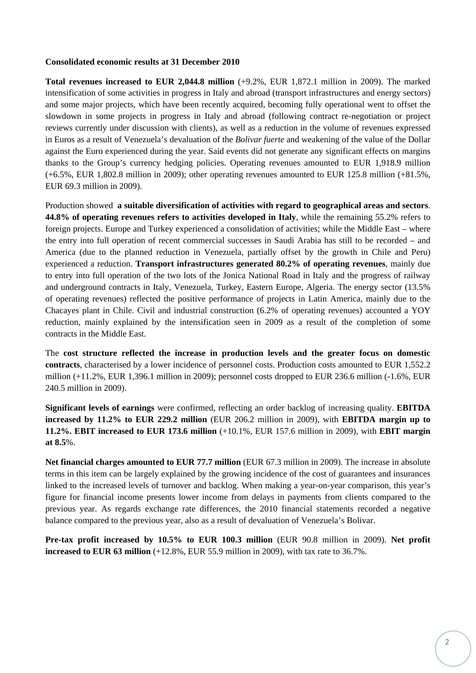### **Consolidated economic results at 31 December 2010**

**Total revenues increased to EUR 2,044.8 million** (+9.2%, EUR 1,872.1 million in 2009). The marked intensification of some activities in progress in Italy and abroad (transport infrastructures and energy sectors) and some major projects, which have been recently acquired, becoming fully operational went to offset the slowdown in some projects in progress in Italy and abroad (following contract re-negotiation or project reviews currently under discussion with clients), as well as a reduction in the volume of revenues expressed in Euros as a result of Venezuela's devaluation of the *Bolivar fuerte* and weakening of the value of the Dollar against the Euro experienced during the year. Said events did not generate any significant effects on margins thanks to the Group's currency hedging policies. Operating revenues amounted to EUR 1,918.9 million (+6.5%, EUR 1,802.8 million in 2009); other operating revenues amounted to EUR 125.8 million (+81.5%, EUR 69.3 million in 2009).

Production showed **a suitable diversification of activities with regard to geographical areas and sectors**. **44.8% of operating revenues refers to activities developed in Italy**, while the remaining 55.2% refers to foreign projects. Europe and Turkey experienced a consolidation of activities; while the Middle East – where the entry into full operation of recent commercial successes in Saudi Arabia has still to be recorded – and America (due to the planned reduction in Venezuela, partially offset by the growth in Chile and Peru) experienced a reduction. **Transport infrastructures generated 80.2% of operating revenues**, mainly due to entry into full operation of the two lots of the Jonica National Road in Italy and the progress of railway and underground contracts in Italy, Venezuela, Turkey, Eastern Europe, Algeria. The energy sector (13.5% of operating revenues) reflected the positive performance of projects in Latin America, mainly due to the Chacayes plant in Chile. Civil and industrial construction (6.2% of operating revenues) accounted a YOY reduction, mainly explained by the intensification seen in 2009 as a result of the completion of some contracts in the Middle East.

The **cost structure reflected the increase in production levels and the greater focus on domestic contracts**, characterised by a lower incidence of personnel costs. Production costs amounted to EUR 1,552.2 million (+11.2%, EUR 1,396.1 million in 2009); personnel costs dropped to EUR 236.6 million (-1.6%, EUR 240.5 million in 2009).

**Significant levels of earnings** were confirmed, reflecting an order backlog of increasing quality. **EBITDA increased by 11.2% to EUR 229.2 million** (EUR 206.2 million in 2009), with **EBITDA margin up to 11.2%. EBIT increased to EUR 173.6 million** (+10.1%, EUR 157.6 million in 2009), with **EBIT margin at 8.5**%.

**Net financial charges amounted to EUR 77.7 million** (EUR 67.3 million in 2009). The increase in absolute terms in this item can be largely explained by the growing incidence of the cost of guarantees and insurances linked to the increased levels of turnover and backlog. When making a year-on-year comparison, this year's figure for financial income presents lower income from delays in payments from clients compared to the previous year. As regards exchange rate differences, the 2010 financial statements recorded a negative balance compared to the previous year, also as a result of devaluation of Venezuela's Bolivar.

**Pre-tax profit increased by 10.5% to EUR 100.3 million** (EUR 90.8 million in 2009). **Net profit increased to EUR 63 million** (+12.8%, EUR 55.9 million in 2009), with tax rate to 36.7%.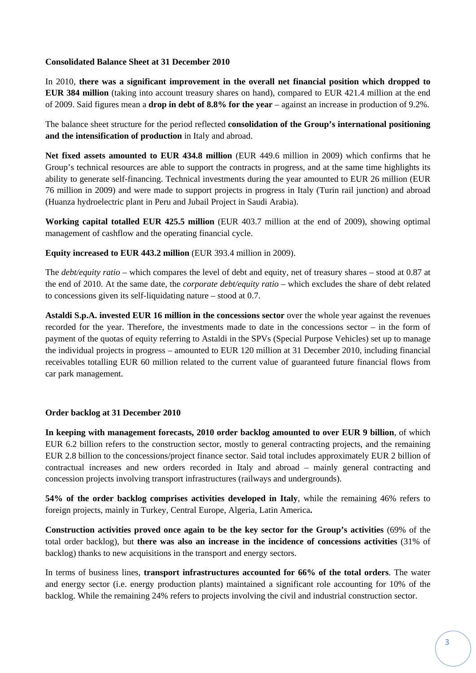### **Consolidated Balance Sheet at 31 December 2010**

In 2010, **there was a significant improvement in the overall net financial position which dropped to EUR 384 million** (taking into account treasury shares on hand), compared to EUR 421.4 million at the end of 2009. Said figures mean a **drop in debt of 8.8% for the year** – against an increase in production of 9.2%.

The balance sheet structure for the period reflected **consolidation of the Group's international positioning and the intensification of production** in Italy and abroad.

**Net fixed assets amounted to EUR 434.8 million** (EUR 449.6 million in 2009) which confirms that he Group's technical resources are able to support the contracts in progress, and at the same time highlights its ability to generate self-financing. Technical investments during the year amounted to EUR 26 million (EUR 76 million in 2009) and were made to support projects in progress in Italy (Turin rail junction) and abroad (Huanza hydroelectric plant in Peru and Jubail Project in Saudi Arabia).

**Working capital totalled EUR 425.5 million** (EUR 403.7 million at the end of 2009), showing optimal management of cashflow and the operating financial cycle.

### **Equity increased to EUR 443.2 million** (EUR 393.4 million in 2009).

The *debt/equity ratio –* which compares the level of debt and equity, net of treasury shares – stood at 0.87 at the end of 2010. At the same date, the *corporate debt/equity ratio* – which excludes the share of debt related to concessions given its self-liquidating nature – stood at 0.7.

**Astaldi S.p.A. invested EUR 16 million in the concessions sector** over the whole year against the revenues recorded for the year. Therefore, the investments made to date in the concessions sector – in the form of payment of the quotas of equity referring to Astaldi in the SPVs (Special Purpose Vehicles) set up to manage the individual projects in progress – amounted to EUR 120 million at 31 December 2010, including financial receivables totalling EUR 60 million related to the current value of guaranteed future financial flows from car park management.

### **Order backlog at 31 December 2010**

**In keeping with management forecasts, 2010 order backlog amounted to over EUR 9 billion**, of which EUR 6.2 billion refers to the construction sector, mostly to general contracting projects, and the remaining EUR 2.8 billion to the concessions/project finance sector. Said total includes approximately EUR 2 billion of contractual increases and new orders recorded in Italy and abroad – mainly general contracting and concession projects involving transport infrastructures (railways and undergrounds).

**54% of the order backlog comprises activities developed in Italy**, while the remaining 46% refers to foreign projects, mainly in Turkey, Central Europe, Algeria, Latin America**.** 

**Construction activities proved once again to be the key sector for the Group's activities** (69% of the total order backlog), but **there was also an increase in the incidence of concessions activities** (31% of backlog) thanks to new acquisitions in the transport and energy sectors.

In terms of business lines, **transport infrastructures accounted for 66% of the total orders**. The water and energy sector (i.e. energy production plants) maintained a significant role accounting for 10% of the backlog. While the remaining 24% refers to projects involving the civil and industrial construction sector.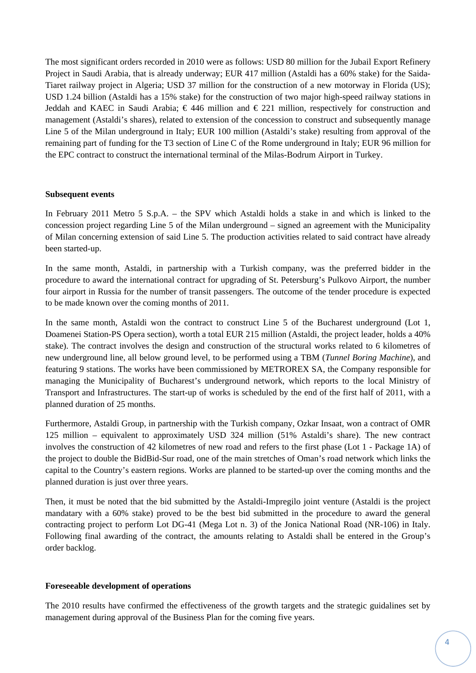The most significant orders recorded in 2010 were as follows: USD 80 million for the Jubail Export Refinery Project in Saudi Arabia, that is already underway; EUR 417 million (Astaldi has a 60% stake) for the Saida-Tiaret railway project in Algeria; USD 37 million for the construction of a new motorway in Florida (US); USD 1.24 billion (Astaldi has a 15% stake) for the construction of two major high-speed railway stations in Jeddah and KAEC in Saudi Arabia;  $\epsilon$  446 million and  $\epsilon$  221 million, respectively for construction and management (Astaldi's shares), related to extension of the concession to construct and subsequently manage Line 5 of the Milan underground in Italy; EUR 100 million (Astaldi's stake) resulting from approval of the remaining part of funding for the T3 section of Line C of the Rome underground in Italy; EUR 96 million for the EPC contract to construct the international terminal of the Milas-Bodrum Airport in Turkey.

#### **Subsequent events**

In February 2011 Metro 5 S.p.A. – the SPV which Astaldi holds a stake in and which is linked to the concession project regarding Line 5 of the Milan underground – signed an agreement with the Municipality of Milan concerning extension of said Line 5. The production activities related to said contract have already been started-up.

In the same month, Astaldi, in partnership with a Turkish company, was the preferred bidder in the procedure to award the international contract for upgrading of St. Petersburg's Pulkovo Airport, the number four airport in Russia for the number of transit passengers. The outcome of the tender procedure is expected to be made known over the coming months of 2011.

In the same month, Astaldi won the contract to construct Line 5 of the Bucharest underground (Lot 1, Doamenei Station-PS Opera section), worth a total EUR 215 million (Astaldi, the project leader, holds a 40% stake). The contract involves the design and construction of the structural works related to 6 kilometres of new underground line, all below ground level, to be performed using a TBM (*Tunnel Boring Machine*), and featuring 9 stations. The works have been commissioned by METROREX SA, the Company responsible for managing the Municipality of Bucharest's underground network, which reports to the local Ministry of Transport and Infrastructures. The start-up of works is scheduled by the end of the first half of 2011, with a planned duration of 25 months.

Furthermore, Astaldi Group, in partnership with the Turkish company, Ozkar Insaat, won a contract of OMR 125 million – equivalent to approximately USD 324 million (51% Astaldi's share). The new contract involves the construction of 42 kilometres of new road and refers to the first phase (Lot 1 - Package 1A) of the project to double the BidBid-Sur road, one of the main stretches of Oman's road network which links the capital to the Country's eastern regions. Works are planned to be started-up over the coming months and the planned duration is just over three years.

Then, it must be noted that the bid submitted by the Astaldi-Impregilo joint venture (Astaldi is the project mandatary with a 60% stake) proved to be the best bid submitted in the procedure to award the general contracting project to perform Lot DG-41 (Mega Lot n. 3) of the Jonica National Road (NR-106) in Italy. Following final awarding of the contract, the amounts relating to Astaldi shall be entered in the Group's order backlog.

#### **Foreseeable development of operations**

The 2010 results have confirmed the effectiveness of the growth targets and the strategic guidalines set by management during approval of the Business Plan for the coming five years.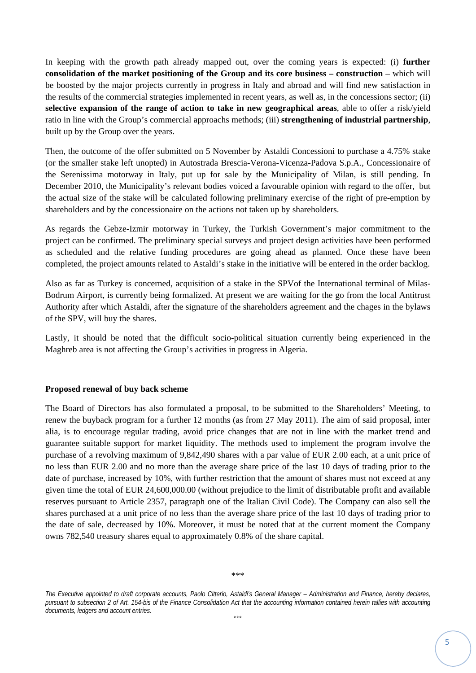In keeping with the growth path already mapped out, over the coming years is expected: (i) **further consolidation of the market positioning of the Group and its core business – construction – which will** be boosted by the major projects currently in progress in Italy and abroad and will find new satisfaction in the results of the commercial strategies implemented in recent years, as well as, in the concessions sector; (ii) **selective expansion of the range of action to take in new geographical areas**, able to offer a risk/yield ratio in line with the Group's commercial approachs methods; (iii) **strengthening of industrial partnership**, built up by the Group over the years.

Then, the outcome of the offer submitted on 5 November by Astaldi Concessioni to purchase a 4.75% stake (or the smaller stake left unopted) in Autostrada Brescia-Verona-Vicenza-Padova S.p.A., Concessionaire of the Serenissima motorway in Italy, put up for sale by the Municipality of Milan, is still pending. In December 2010, the Municipality's relevant bodies voiced a favourable opinion with regard to the offer, but the actual size of the stake will be calculated following preliminary exercise of the right of pre-emption by shareholders and by the concessionaire on the actions not taken up by shareholders.

As regards the Gebze-Izmir motorway in Turkey, the Turkish Government's major commitment to the project can be confirmed. The preliminary special surveys and project design activities have been performed as scheduled and the relative funding procedures are going ahead as planned. Once these have been completed, the project amounts related to Astaldi's stake in the initiative will be entered in the order backlog.

Also as far as Turkey is concerned, acquisition of a stake in the SPVof the International terminal of Milas-Bodrum Airport, is currently being formalized. At present we are waiting for the go from the local Antitrust Authority after which Astaldi, after the signature of the shareholders agreement and the chages in the bylaws of the SPV, will buy the shares.

Lastly, it should be noted that the difficult socio-political situation currently being experienced in the Maghreb area is not affecting the Group's activities in progress in Algeria.

### **Proposed renewal of buy back scheme**

The Board of Directors has also formulated a proposal, to be submitted to the Shareholders' Meeting, to renew the buyback program for a further 12 months (as from 27 May 2011). The aim of said proposal, inter alia, is to encourage regular trading, avoid price changes that are not in line with the market trend and guarantee suitable support for market liquidity. The methods used to implement the program involve the purchase of a revolving maximum of 9,842,490 shares with a par value of EUR 2.00 each, at a unit price of no less than EUR 2.00 and no more than the average share price of the last 10 days of trading prior to the date of purchase, increased by 10%, with further restriction that the amount of shares must not exceed at any given time the total of EUR 24,600,000.00 (without prejudice to the limit of distributable profit and available reserves pursuant to Article 2357, paragraph one of the Italian Civil Code). The Company can also sell the shares purchased at a unit price of no less than the average share price of the last 10 days of trading prior to the date of sale, decreased by 10%. Moreover, it must be noted that at the current moment the Company owns 782,540 treasury shares equal to approximately 0.8% of the share capital.

*The Executive appointed to draft corporate accounts, Paolo Citterio, Astaldi's General Manager – Administration and Finance, hereby declares,*  pursuant to subsection 2 of Art. 154-bis of the Finance Consolidation Act that the accounting information contained herein tallies with accounting *documents, ledgers and account entries.*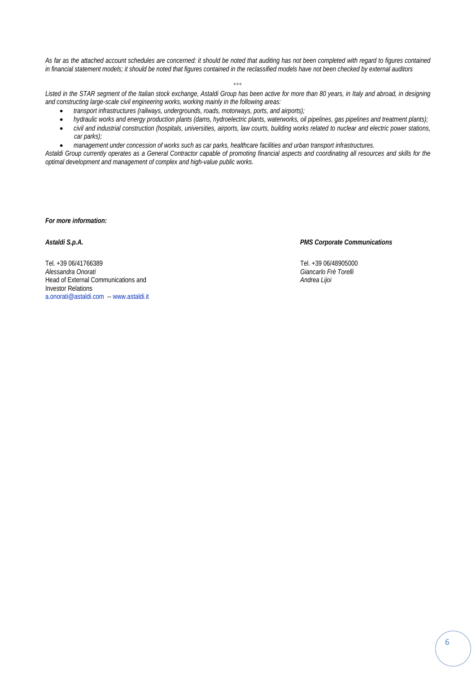*As far as the attached account schedules are concerned: it should be noted that auditing has not been completed with regard to figures contained in financial statement models; it should be noted that figures contained in the reclassified models have not been checked by external auditors* 

 $^{\circ}$ 

*Listed in the STAR segment of the Italian stock exchange, Astaldi Group has been active for more than 80 years, in Italy and abroad, in designing and constructing large-scale civil engineering works, working mainly in the following areas:* 

- *transport infrastructures (railways, undergrounds, roads, motorways, ports, and airports);*
- *hydraulic works and energy production plants (dams, hydroelectric plants, waterworks, oil pipelines, gas pipelines and treatment plants);*
- *civil and industrial construction (hospitals, universities, airports, law courts, building works related to nuclear and electric power stations, car parks);*
- *management under concession of works such as car parks, healthcare facilities and urban transport infrastructures.*

*Astaldi Group currently operates as a General Contractor capable of promoting financial aspects and coordinating all resources and skills for the optimal development and management of complex and high-value public works.* 

*For more information:* 

*Astaldi S.p.A. PMS Corporate Communications* 

*Alessandra Onorati Giancarlo Frè Torelli*

Tel. +39 06/41766389<br>Alessandra Onorati and Telecomputation of the California Control of the Total Change of Tel. +39 06/48905000<br>Giancarlo Frè Torelli Head of External Communications and *Andrea Lijoi* Investor Relations a.onorati@astaldi.com -- www.astaldi.it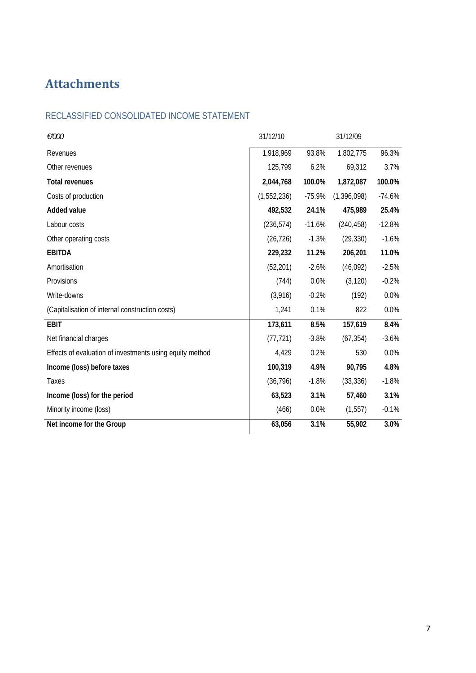# **Attachments**

# RECLASSIFIED CONSOLIDATED INCOME STATEMENT

| €/000                                                    | 31/12/10    | 31/12/09 |               |          |
|----------------------------------------------------------|-------------|----------|---------------|----------|
| Revenues                                                 | 1,918,969   | 93.8%    | 1,802,775     | 96.3%    |
| Other revenues                                           | 125,799     | 6.2%     | 69,312        | 3.7%     |
| <b>Total revenues</b>                                    | 2,044,768   | 100.0%   | 1,872,087     | 100.0%   |
| Costs of production                                      | (1,552,236) | $-75.9%$ | (1, 396, 098) | $-74.6%$ |
| <b>Added value</b>                                       | 492,532     | 24.1%    | 475,989       | 25.4%    |
| Labour costs                                             | (236, 574)  | $-11.6%$ | (240, 458)    | $-12.8%$ |
| Other operating costs                                    | (26, 726)   | $-1.3%$  | (29, 330)     | $-1.6%$  |
| <b>EBITDA</b>                                            | 229,232     | 11.2%    | 206,201       | 11.0%    |
| Amortisation                                             | (52, 201)   | $-2.6%$  | (46,092)      | $-2.5%$  |
| Provisions                                               | (744)       | 0.0%     | (3, 120)      | $-0.2%$  |
| Write-downs                                              | (3,916)     | $-0.2%$  | (192)         | 0.0%     |
| (Capitalisation of internal construction costs)          | 1,241       | 0.1%     | 822           | 0.0%     |
| <b>EBIT</b>                                              | 173,611     | 8.5%     | 157,619       | 8.4%     |
| Net financial charges                                    | (77, 721)   | $-3.8%$  | (67, 354)     | $-3.6%$  |
| Effects of evaluation of investments using equity method | 4,429       | 0.2%     | 530           | 0.0%     |
| Income (loss) before taxes                               | 100,319     | 4.9%     | 90,795        | 4.8%     |
| Taxes                                                    | (36, 796)   | $-1.8%$  | (33, 336)     | $-1.8%$  |
| Income (loss) for the period                             | 63,523      | 3.1%     | 57,460        | 3.1%     |
| Minority income (loss)                                   | (466)       | 0.0%     | (1, 557)      | $-0.1%$  |
| Net income for the Group                                 | 63,056      | 3.1%     | 55,902        | 3.0%     |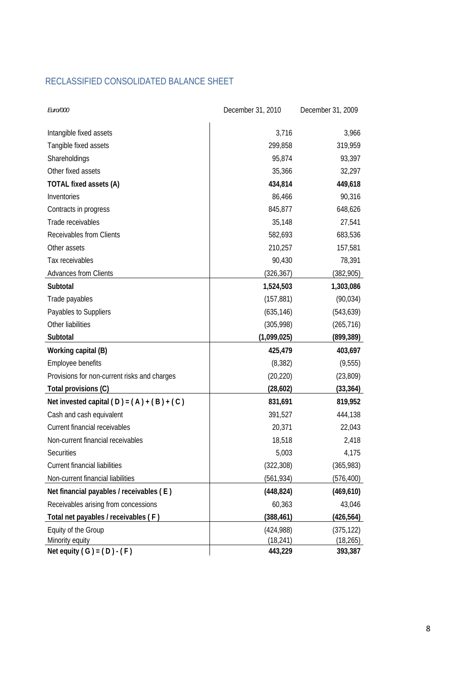# RECLASSIFIED CONSOLIDATED BALANCE SHEET

| Euro/000                                     | December 31, 2010 | December 31, 2009 |  |
|----------------------------------------------|-------------------|-------------------|--|
| Intangible fixed assets                      | 3,716             | 3,966             |  |
| Tangible fixed assets                        | 299,858           | 319,959           |  |
| Shareholdings                                | 95,874            | 93,397            |  |
| Other fixed assets                           | 35,366            | 32,297            |  |
| TOTAL fixed assets (A)                       | 434,814           | 449,618           |  |
| Inventories                                  | 86,466            | 90,316            |  |
| Contracts in progress                        | 845,877           | 648,626           |  |
| Trade receivables                            | 35,148            | 27,541            |  |
| Receivables from Clients                     | 582,693           | 683,536           |  |
| Other assets                                 | 210,257           | 157,581           |  |
| Tax receivables                              | 90,430            | 78,391            |  |
| Advances from Clients                        | (326, 367)        | (382, 905)        |  |
| Subtotal                                     | 1,524,503         | 1,303,086         |  |
| Trade payables                               | (157, 881)        | (90, 034)         |  |
| Payables to Suppliers                        | (635, 146)        | (543, 639)        |  |
| Other liabilities                            | (305, 998)        | (265, 716)        |  |
| Subtotal                                     | (1,099,025)       | (899,389)         |  |
| Working capital (B)                          | 425,479           | 403,697           |  |
| Employee benefits                            | (8, 382)          | (9, 555)          |  |
| Provisions for non-current risks and charges | (20, 220)         | (23, 809)         |  |
| Total provisions (C)                         | (28, 602)         | (33, 364)         |  |
| Net invested capital $(D) = (A) + (B) + (C)$ | 831,691           | 819,952           |  |
| Cash and cash equivalent                     | 391,527           | 444,138           |  |
| Current financial receivables                | 20,371            | 22,043            |  |
| Non-current financial receivables            | 18,518            | 2,418             |  |
| Securities                                   | 5,003             | 4,175             |  |
| <b>Current financial liabilities</b>         | (322, 308)        | (365, 983)        |  |
| Non-current financial liabilities            | (561,934)         | (576,400)         |  |
| Net financial payables / receivables (E)     | (448, 824)        | (469, 610)        |  |
| Receivables arising from concessions         | 60,363            | 43,046            |  |
| Total net payables / receivables (F)         | (388, 461)        | (426,564)         |  |
| Equity of the Group                          | (424, 988)        | (375, 122)        |  |
| Minority equity                              | (18, 241)         | (18, 265)         |  |
| Net equity $(G) = (D) - (F)$                 | 443,229           | 393,387           |  |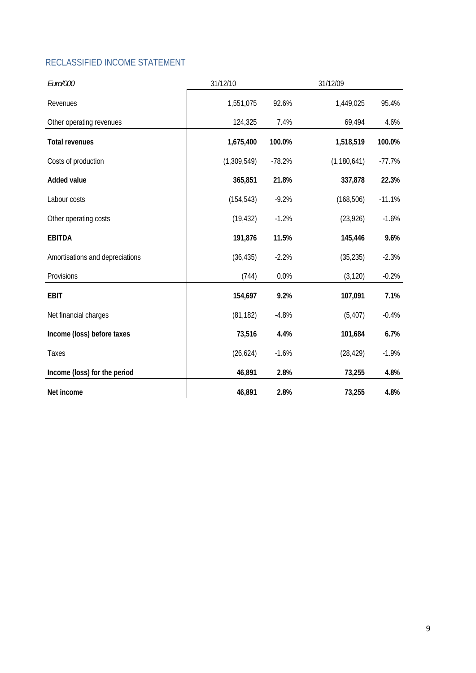# RECLASSIFIED INCOME STATEMENT

| Euro/000                        | 31/12/10    | 31/12/09 |               |          |
|---------------------------------|-------------|----------|---------------|----------|
| Revenues                        | 1,551,075   | 92.6%    | 1,449,025     | 95.4%    |
| Other operating revenues        | 124,325     | 7.4%     | 69,494        | 4.6%     |
| <b>Total revenues</b>           | 1,675,400   | 100.0%   | 1,518,519     | 100.0%   |
| Costs of production             | (1,309,549) | $-78.2%$ | (1, 180, 641) | $-77.7%$ |
| <b>Added value</b>              | 365,851     | 21.8%    | 337,878       | 22.3%    |
| Labour costs                    | (154, 543)  | $-9.2%$  | (168, 506)    | $-11.1%$ |
| Other operating costs           | (19, 432)   | $-1.2%$  | (23, 926)     | $-1.6%$  |
| <b>EBITDA</b>                   | 191,876     | 11.5%    | 145,446       | 9.6%     |
| Amortisations and depreciations | (36, 435)   | $-2.2%$  | (35, 235)     | $-2.3%$  |
| Provisions                      | (744)       | 0.0%     | (3, 120)      | $-0.2%$  |
| <b>EBIT</b>                     | 154,697     | 9.2%     | 107,091       | 7.1%     |
| Net financial charges           | (81, 182)   | $-4.8%$  | (5, 407)      | $-0.4%$  |
| Income (loss) before taxes      | 73,516      | 4.4%     | 101,684       | 6.7%     |
| Taxes                           | (26, 624)   | $-1.6%$  | (28, 429)     | $-1.9%$  |
| Income (loss) for the period    | 46,891      | 2.8%     | 73,255        | 4.8%     |
| Net income                      | 46,891      | 2.8%     | 73,255        | 4.8%     |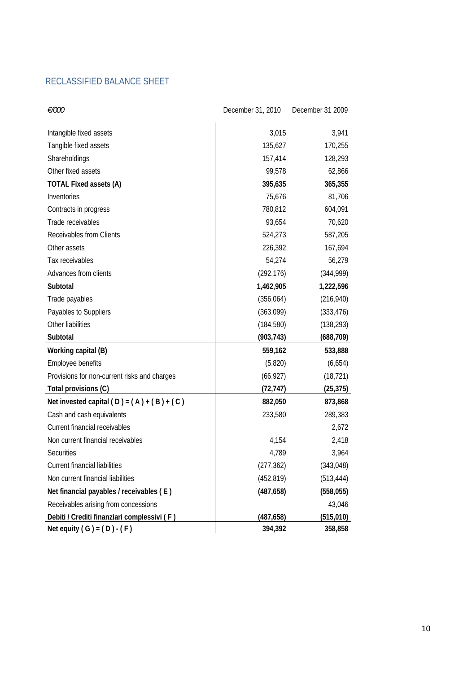# RECLASSIFIED BALANCE SHEET

| €/000                                        | December 31, 2010 | December 31 2009 |
|----------------------------------------------|-------------------|------------------|
| Intangible fixed assets                      | 3,015             | 3,941            |
| Tangible fixed assets                        | 135,627           | 170,255          |
| Shareholdings                                | 157,414           | 128,293          |
| Other fixed assets                           | 99,578            | 62,866           |
| <b>TOTAL Fixed assets (A)</b>                | 395,635           | 365,355          |
| Inventories                                  | 75,676            | 81,706           |
| Contracts in progress                        | 780,812           | 604,091          |
| Trade receivables                            | 93,654            | 70,620           |
| <b>Receivables from Clients</b>              | 524,273           | 587,205          |
| Other assets                                 | 226,392           | 167,694          |
| Tax receivables                              | 54,274            | 56,279           |
| Advances from clients                        | (292, 176)        | (344,999)        |
| Subtotal                                     | 1,462,905         | 1,222,596        |
| Trade payables                               | (356, 064)        | (216, 940)       |
| Payables to Suppliers                        | (363,099)         | (333, 476)       |
| Other liabilities                            | (184, 580)        | (138, 293)       |
| Subtotal                                     | (903, 743)        | (688, 709)       |
| Working capital (B)                          | 559,162           | 533,888          |
| Employee benefits                            | (5,820)           | (6,654)          |
| Provisions for non-current risks and charges | (66, 927)         | (18, 721)        |
| Total provisions (C)                         | (72, 747)         | (25, 375)        |
| Net invested capital $(D) = (A) + (B) + (C)$ | 882,050           | 873,868          |
| Cash and cash equivalents                    | 233,580           | 289,383          |
| Current financial receivables                |                   | 2,672            |
| Non current financial receivables            | 4,154             | 2,418            |
| Securities                                   | 4,789             | 3,964            |
| Current financial liabilities                | (277, 362)        | (343, 048)       |
| Non current financial liabilities            | (452, 819)        | (513, 444)       |
| Net financial payables / receivables (E)     | (487, 658)        | (558, 055)       |
| Receivables arising from concessions         |                   | 43,046           |
| Debiti / Crediti finanziari complessivi (F)  | (487, 658)        | (515, 010)       |
| Net equity $(G) = (D) - (F)$                 | 394,392           | 358,858          |